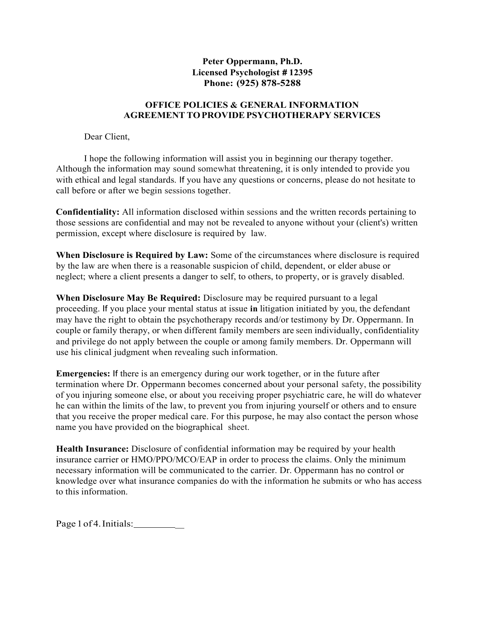## **Peter Oppermann, Ph.D. Licensed Psychologist** *#* **12395 Phone: (925) 878-5288**

## **OFFICE POLICIES & GENERAL INFORMATION AGREEMENT TO PROVIDE PSYCHOTHERAPY SERVICES**

Dear Client,

I hope the following information will assist you in beginning our therapy together. Although the information may sound somewhat threatening, it is only intended to provide you with ethical and legal standards. If you have any questions or concerns, please do not hesitate to call before or after we begin sessions together.

**Confidentiality:** All information disclosed within sessions and the written records pertaining to those sessions are confidential and may not be revealed to anyone without your (client's) written permission, except where disclosure is required by law.

**When Disclosure is Required by Law:** Some of the circumstances where disclosure is required by the law are when there is a reasonable suspicion of child, dependent, or elder abuse or neglect; where a client presents a danger to self, to others, to property, or is gravely disabled.

**When Disclosure May Be Required:** Disclosure may be required pursuant to a legal proceeding. If you place your mental status at issue **in** litigation initiated by you, the defendant may have the right to obtain the psychotherapy records and/or testimony by Dr. Oppermann. In couple or family therapy, or when different family members are seen individually, confidentiality and privilege do not apply between the couple or among family members. Dr. Oppermann will use his clinical judgment when revealing such information.

**Emergencies:** If there is an emergency during our work together, or in the future after termination where Dr. Oppermann becomes concerned about your personal safety, the possibility of you injuring someone else, or about you receiving proper psychiatric care, he will do whatever he can within the limits of the law, to prevent you from injuring yourself or others and to ensure that you receive the proper medical care. For this purpose, he may also contact the person whose name you have provided on the biographical sheet.

**Health Insurance:** Disclosure of confidential information may be required by your health insurance carrier or HMO/PPO/MCO/EAP in order to process the claims. Only the minimum necessary information will be communicated to the carrier. Dr. Oppermann has no control or knowledge over what insurance companies do with the information he submits or who has access to this information.

Page 1 of 4. Initials: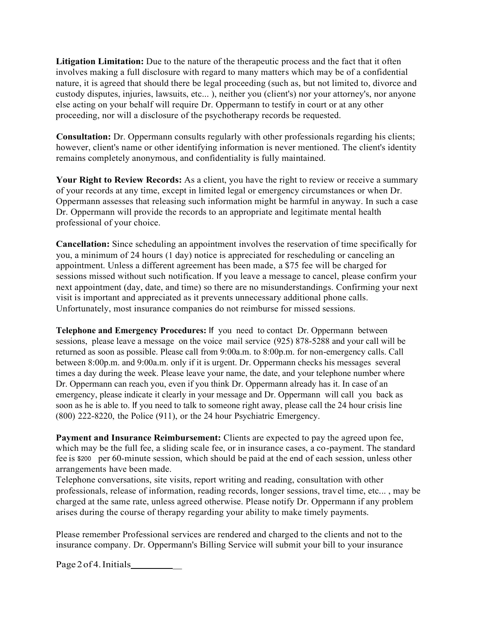**Litigation Limitation:** Due to the nature of the therapeutic process and the fact that it often involves making a full disclosure with regard to many matters which may be of a confidential nature, it is agreed that should there be legal proceeding (such as, but not limited to, divorce and custody disputes, injuries, lawsuits, etc... ), neither you (client's) nor your attorney's, nor anyone else acting on your behalf will require Dr. Oppermann to testify in court or at any other proceeding, nor will a disclosure of the psychotherapy records be requested.

**Consultation:** Dr. Oppermann consults regularly with other professionals regarding his clients; however, client's name or other identifying information is never mentioned. The client's identity remains completely anonymous, and confidentiality is fully maintained.

Your Right to Review Records: As a client, you have the right to review or receive a summary of your records at any time, except in limited legal or emergency circumstances or when Dr. Oppermann assesses that releasing such information might be harmful in anyway. In such a case Dr. Oppermann will provide the records to an appropriate and legitimate mental health professional of your choice.

**Cancellation:** Since scheduling an appointment involves the reservation of time specifically for you, a minimum of 24 hours (1 day) notice is appreciated for rescheduling or canceling an appointment. Unless a different agreement has been made, a \$75 fee will be charged for sessions missed without such notification. If you leave a message to cancel, please confirm your next appointment (day, date, and time) so there are no misunderstandings. Confirming your next visit is important and appreciated as it prevents unnecessary additional phone calls. Unfortunately, most insurance companies do not reimburse for missed sessions.

**Telephone and Emergency Procedures:** If you need to contact Dr. Oppermann between sessions, please leave a message on the voice mail service (925) 878-5288 and your call will be returned as soon as possible. Please call from 9:00a.m. to 8:00p.m. for non-emergency calls. Call between 8:00p.m. and 9:00a.m. only if it is urgent. Dr. Oppermann checks his messages several times a day during the week. Please leave your name, the date, and your telephone number where Dr. Oppermann can reach you, even if you think Dr. Oppermann already has it. In case of an emergency, please indicate it clearly in your message and Dr. Oppermann will call you back as soon as he is able to. If you need to talk to someone right away, please call the 24 hour crisis line (800) 222-8220, the Police (911), or the 24 hour Psychiatric Emergency.

**Payment and Insurance Reimbursement:** Clients are expected to pay the agreed upon fee, which may be the full fee, a sliding scale fee, or in insurance cases, a co-payment. The standard fee is \$200 per 60-minute session, which should be paid at the end of each session, unless other arrangements have been made.

Telephone conversations, site visits, report writing and reading, consultation with other professionals, release of information, reading records, longer sessions, travel time, etc... , may be charged at the same rate, unless agreed otherwise. Please notify Dr. Oppermann if any problem arises during the course of therapy regarding your ability to make timely payments.

Please remember Professional services are rendered and charged to the clients and not to the insurance company. Dr. Oppermann's Billing Service will submit your bill to your insurance

Page 2 of 4. Initials \_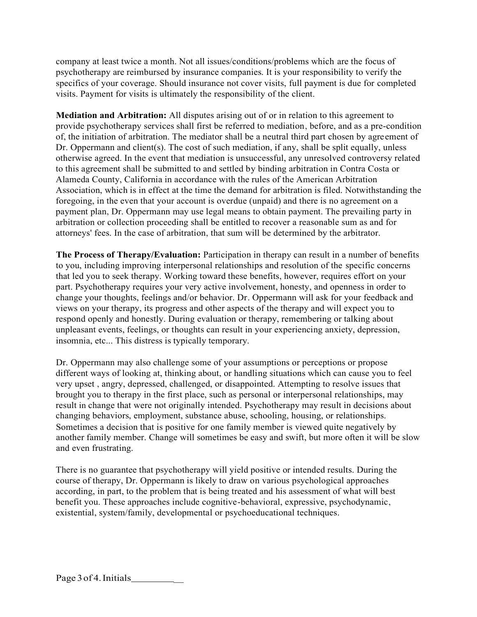company at least twice a month. Not all issues/conditions/problems which are the focus of psychotherapy are reimbursed by insurance companies. It is your responsibility to verify the specifics of your coverage. Should insurance not cover visits, full payment is due for completed visits. Payment for visits is ultimately the responsibility of the client.

**Mediation and Arbitration:** All disputes arising out of or in relation to this agreement to provide psychotherapy services shall first be referred to mediation, before, and as a pre-condition of, the initiation of arbitration. The mediator shall be a neutral third part chosen by agreement of Dr. Oppermann and client(s). The cost of such mediation, if any, shall be split equally, unless otherwise agreed. In the event that mediation is unsuccessful, any unresolved controversy related to this agreement shall be submitted to and settled by binding arbitration in Contra Costa or Alameda County, California in accordance with the rules of the American Arbitration Association, which is in effect at the time the demand for arbitration is filed. Notwithstanding the foregoing, in the even that your account is overdue (unpaid) and there is no agreement on a payment plan, Dr. Oppermann may use legal means to obtain payment. The prevailing party in arbitration or collection proceeding shall be entitled to recover a reasonable sum as and for attorneys' fees. In the case of arbitration, that sum will be determined by the arbitrator.

**The Process of Therapy/Evaluation:** Participation in therapy can result in a number of benefits to you, including improving interpersonal relationships and resolution of the specific concerns that led you to seek therapy. Working toward these benefits, however, requires effort on your part. Psychotherapy requires your very active involvement, honesty, and openness in order to change your thoughts, feelings and/or behavior. Dr. Oppermann will ask for your feedback and views on your therapy, its progress and other aspects of the therapy and will expect you to respond openly and honestly. During evaluation or therapy, remembering or talking about unpleasant events, feelings, or thoughts can result in your experiencing anxiety, depression, insomnia, etc... This distress is typically temporary.

Dr. Oppermann may also challenge some of your assumptions or perceptions or propose different ways of looking at, thinking about, or handling situations which can cause you to feel very upset , angry, depressed, challenged, or disappointed. Attempting to resolve issues that brought you to therapy in the first place, such as personal or interpersonal relationships, may result in change that were not originally intended. Psychotherapy may result in decisions about changing behaviors, employment, substance abuse, schooling, housing, or relationships. Sometimes a decision that is positive for one family member is viewed quite negatively by another family member. Change will sometimes be easy and swift, but more often it will be slow and even frustrating.

There is no guarantee that psychotherapy will yield positive or intended results. During the course of therapy, Dr. Oppermann is likely to draw on various psychological approaches according, in part, to the problem that is being treated and his assessment of what will best benefit you. These approaches include cognitive-behavioral, expressive, psychodynamic, existential, system/family, developmental or psychoeducational techniques.